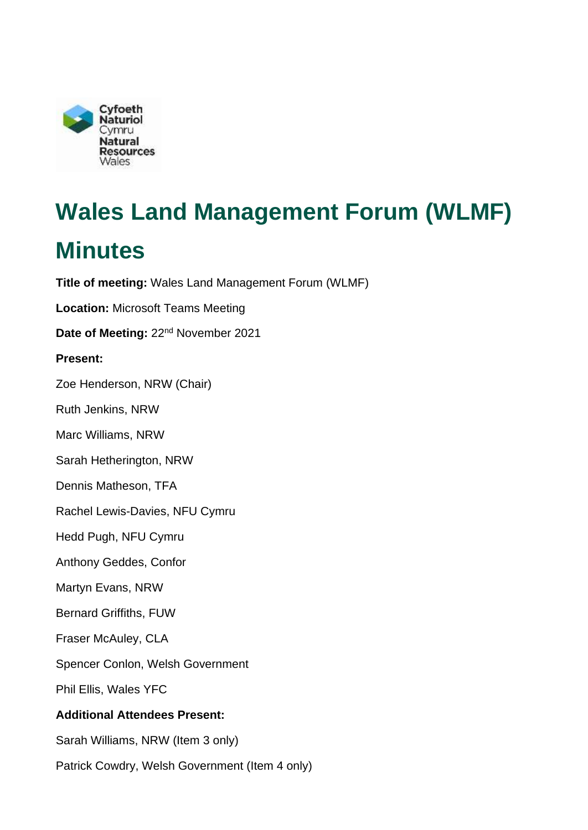

# **Wales Land Management Forum (WLMF)**

## **Minutes**

**Title of meeting:** Wales Land Management Forum (WLMF) **Location:** Microsoft Teams Meeting

Date of Meeting: 22<sup>nd</sup> November 2021

#### **Present:**

Zoe Henderson, NRW (Chair)

Ruth Jenkins, NRW

Marc Williams, NRW

Sarah Hetherington, NRW

Dennis Matheson, TFA

Rachel Lewis-Davies, NFU Cymru

Hedd Pugh, NFU Cymru

Anthony Geddes, Confor

Martyn Evans, NRW

Bernard Griffiths, FUW

Fraser McAuley, CLA

Spencer Conlon, Welsh Government

Phil Ellis, Wales YFC

#### **Additional Attendees Present:**

Sarah Williams, NRW (Item 3 only)

Patrick Cowdry, Welsh Government (Item 4 only)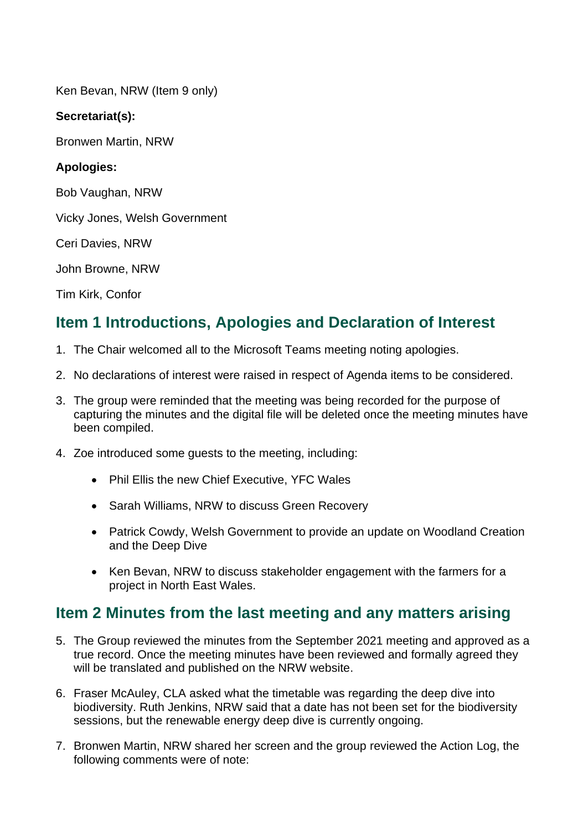Ken Bevan, NRW (Item 9 only)

#### **Secretariat(s):**

Bronwen Martin, NRW

#### **Apologies:**

Bob Vaughan, NRW

Vicky Jones, Welsh Government

Ceri Davies, NRW

John Browne, NRW

Tim Kirk, Confor

## **Item 1 Introductions, Apologies and Declaration of Interest**

- 1. The Chair welcomed all to the Microsoft Teams meeting noting apologies.
- 2. No declarations of interest were raised in respect of Agenda items to be considered.
- 3. The group were reminded that the meeting was being recorded for the purpose of capturing the minutes and the digital file will be deleted once the meeting minutes have been compiled.
- 4. Zoe introduced some guests to the meeting, including:
	- Phil Ellis the new Chief Executive, YFC Wales
	- Sarah Williams, NRW to discuss Green Recovery
	- • Patrick Cowdy, Welsh Government to provide an update on Woodland Creation and the Deep Dive
	- Ken Bevan, NRW to discuss stakeholder engagement with the farmers for a project in North East Wales.

## **Item 2 Minutes from the last meeting and any matters arising**

- will be translated and published on the NRW website. 5. The Group reviewed the minutes from the September 2021 meeting and approved as a true record. Once the meeting minutes have been reviewed and formally agreed they
- 6. Fraser McAuley, CLA asked what the timetable was regarding the deep dive into biodiversity. Ruth Jenkins, NRW said that a date has not been set for the biodiversity sessions, but the renewable energy deep dive is currently ongoing.
- 7. Bronwen Martin, NRW shared her screen and the group reviewed the Action Log, the following comments were of note: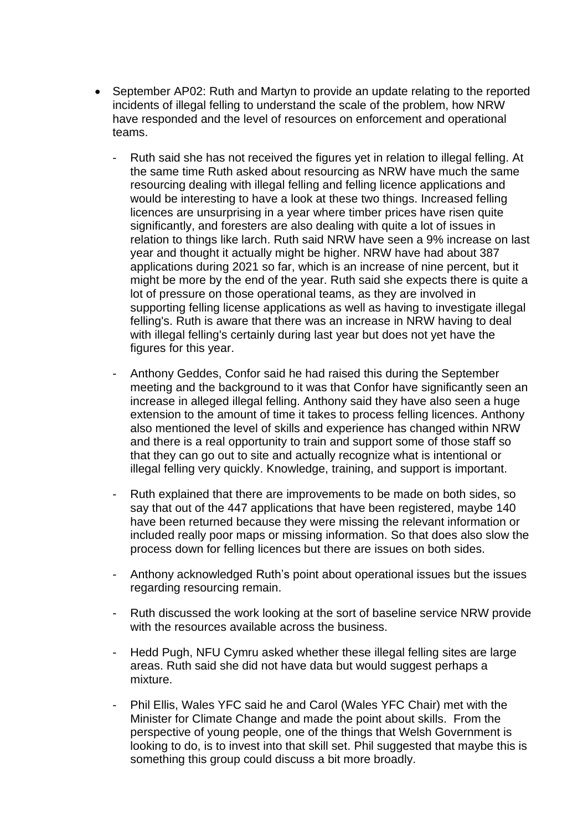- September AP02: Ruth and Martyn to provide an update relating to the reported incidents of illegal felling to understand the scale of the problem, how NRW have responded and the level of resources on enforcement and operational teams.
	- resourcing dealing with illegal felling and felling licence applications and Ruth said she has not received the figures yet in relation to illegal felling. At the same time Ruth asked about resourcing as NRW have much the same would be interesting to have a look at these two things. Increased felling licences are unsurprising in a year where timber prices have risen quite significantly, and foresters are also dealing with quite a lot of issues in relation to things like larch. Ruth said NRW have seen a 9% increase on last year and thought it actually might be higher. NRW have had about 387 applications during 2021 so far, which is an increase of nine percent, but it might be more by the end of the year. Ruth said she expects there is quite a lot of pressure on those operational teams, as they are involved in supporting felling license applications as well as having to investigate illegal felling's. Ruth is aware that there was an increase in NRW having to deal with illegal felling's certainly during last year but does not yet have the figures for this year.
	- meeting and the background to it was that Confor have significantly seen an increase in alleged illegal felling. Anthony said they have also seen a huge Anthony Geddes, Confor said he had raised this during the September extension to the amount of time it takes to process felling licences. Anthony also mentioned the level of skills and experience has changed within NRW and there is a real opportunity to train and support some of those staff so that they can go out to site and actually recognize what is intentional or illegal felling very quickly. Knowledge, training, and support is important.
	- - Ruth explained that there are improvements to be made on both sides, so say that out of the 447 applications that have been registered, maybe 140 have been returned because they were missing the relevant information or included really poor maps or missing information. So that does also slow the process down for felling licences but there are issues on both sides.
	- Anthony acknowledged Ruth's point about operational issues but the issues regarding resourcing remain.
	- - Ruth discussed the work looking at the sort of baseline service NRW provide with the resources available across the business.
	- Hedd Pugh, NFU Cymru asked whether these illegal felling sites are large areas. Ruth said she did not have data but would suggest perhaps a mixture.
	- Minister for Climate Change and made the point about skills. From the - Phil Ellis, Wales YFC said he and Carol (Wales YFC Chair) met with the perspective of young people, one of the things that Welsh Government is looking to do, is to invest into that skill set. Phil suggested that maybe this is something this group could discuss a bit more broadly.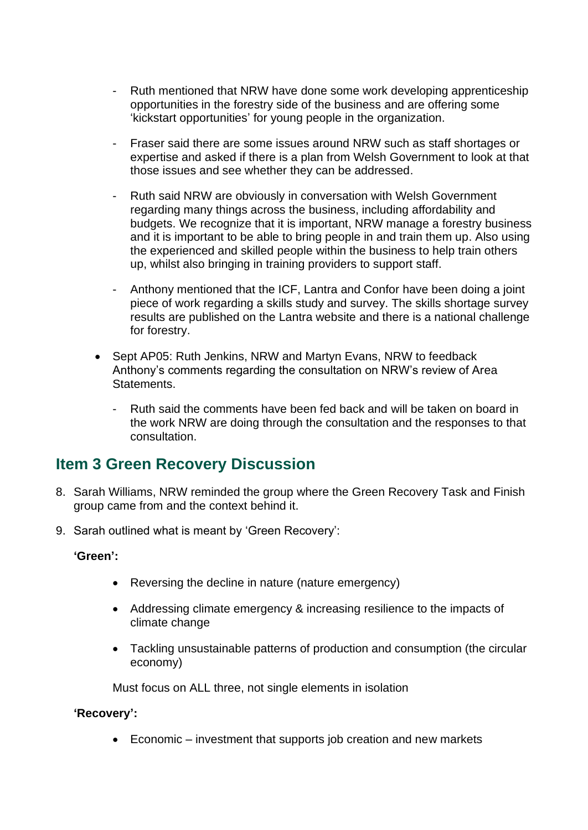- opportunities in the forestry side of the business and are offering some - Ruth mentioned that NRW have done some work developing apprenticeship 'kickstart opportunities' for young people in the organization.
- Fraser said there are some issues around NRW such as staff shortages or expertise and asked if there is a plan from Welsh Government to look at that those issues and see whether they can be addressed.
- Ruth said NRW are obviously in conversation with Welsh Government regarding many things across the business, including affordability and budgets. We recognize that it is important, NRW manage a forestry business and it is important to be able to bring people in and train them up. Also using the experienced and skilled people within the business to help train others up, whilst also bringing in training providers to support staff.
- - Anthony mentioned that the ICF, Lantra and Confor have been doing a joint piece of work regarding a skills study and survey. The skills shortage survey results are published on the Lantra website and there is a national challenge for forestry.
- Statements. • Sept AP05: Ruth Jenkins, NRW and Martyn Evans, NRW to feedback Anthony's comments regarding the consultation on NRW's review of Area
	- - Ruth said the comments have been fed back and will be taken on board in the work NRW are doing through the consultation and the responses to that consultation.

## **Item 3 Green Recovery Discussion**

- 8. Sarah Williams, NRW reminded the group where the Green Recovery Task and Finish group came from and the context behind it.
- 9. Sarah outlined what is meant by 'Green Recovery':

#### **'Green':**

- Reversing the decline in nature (nature emergency)
- Addressing climate emergency & increasing resilience to the impacts of climate change
- Tackling unsustainable patterns of production and consumption (the circular economy)

Must focus on ALL three, not single elements in isolation

#### **'Recovery':**

• Economic – investment that supports job creation and new markets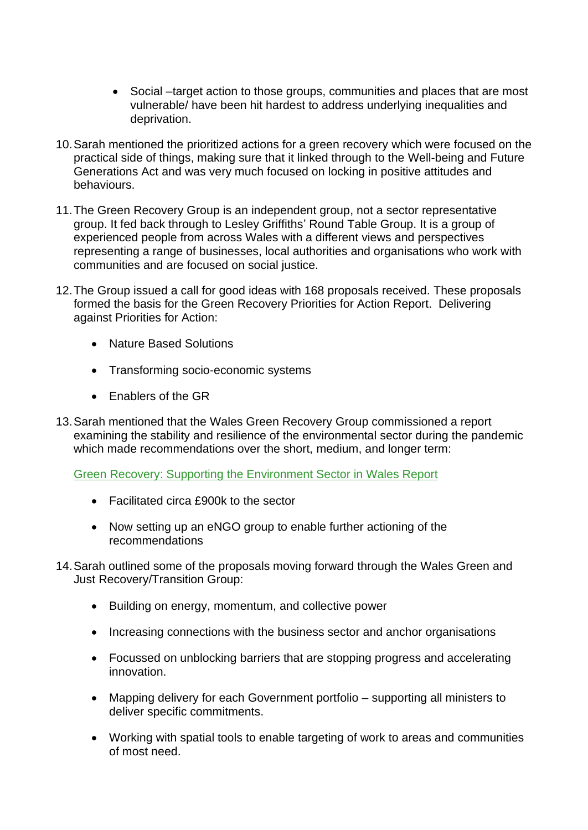- vulnerable/ have been hit hardest to address underlying inequalities and • Social –target action to those groups, communities and places that are most deprivation.
- 10.Sarah mentioned the prioritized actions for a green recovery which were focused on the practical side of things, making sure that it linked through to the Well-being and Future Generations Act and was very much focused on locking in positive attitudes and behaviours.
- group. It fed back through to Lesley Griffiths' Round Table Group. It is a group of 11.The Green Recovery Group is an independent group, not a sector representative experienced people from across Wales with a different views and perspectives representing a range of businesses, local authorities and organisations who work with communities and are focused on social justice.
- formed the basis for the Green Recovery Priorities for Action Report. Delivering 12.The Group issued a call for good ideas with 168 proposals received. These proposals against Priorities for Action:
	- Nature Based Solutions
	- Transforming socio-economic systems
	- Enablers of the GR
- examining the stability and resilience of the environmental sector during the pandemic 13.Sarah mentioned that the Wales Green Recovery Group commissioned a report which made recommendations over the short, medium, and longer term:

[Green Recovery: Supporting the Environment Sector in Wales Report](https://cdn.cyfoethnaturiol.cymru/media/692607/final-green-recovery-engo-support-report-english.pdf) 

- Facilitated circa £900k to the sector
- Now setting up an eNGO group to enable further actioning of the recommendations
- 14.Sarah outlined some of the proposals moving forward through the Wales Green and Just Recovery/Transition Group:
	- Building on energy, momentum, and collective power
	- Increasing connections with the business sector and anchor organisations
	- Focussed on unblocking barriers that are stopping progress and accelerating innovation.
	- Mapping delivery for each Government portfolio supporting all ministers to deliver specific commitments.
	- Working with spatial tools to enable targeting of work to areas and communities of most need.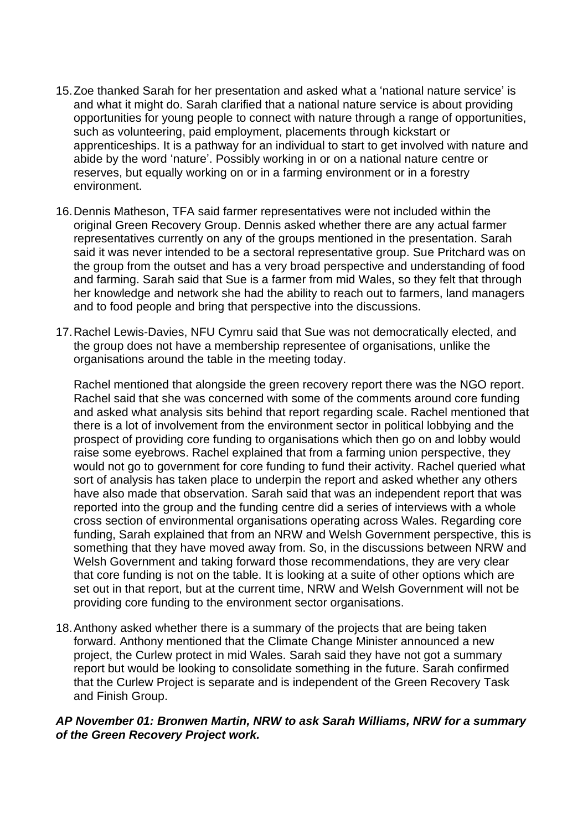- 15.Zoe thanked Sarah for her presentation and asked what a 'national nature service' is apprenticeships. It is a pathway for an individual to start to get involved with nature and and what it might do. Sarah clarified that a national nature service is about providing opportunities for young people to connect with nature through a range of opportunities, such as volunteering, paid employment, placements through kickstart or abide by the word 'nature'. Possibly working in or on a national nature centre or reserves, but equally working on or in a farming environment or in a forestry environment.
- said it was never intended to be a sectoral representative group. Sue Pritchard was on and to food people and bring that perspective into the discussions. 16.Dennis Matheson, TFA said farmer representatives were not included within the original Green Recovery Group. Dennis asked whether there are any actual farmer representatives currently on any of the groups mentioned in the presentation. Sarah the group from the outset and has a very broad perspective and understanding of food and farming. Sarah said that Sue is a farmer from mid Wales, so they felt that through her knowledge and network she had the ability to reach out to farmers, land managers
- organisations around the table in the meeting today. 17.Rachel Lewis-Davies, NFU Cymru said that Sue was not democratically elected, and the group does not have a membership representee of organisations, unlike the

Rachel mentioned that alongside the green recovery report there was the NGO report. Rachel said that she was concerned with some of the comments around core funding and asked what analysis sits behind that report regarding scale. Rachel mentioned that there is a lot of involvement from the environment sector in political lobbying and the prospect of providing core funding to organisations which then go on and lobby would raise some eyebrows. Rachel explained that from a farming union perspective, they would not go to government for core funding to fund their activity. Rachel queried what sort of analysis has taken place to underpin the report and asked whether any others have also made that observation. Sarah said that was an independent report that was reported into the group and the funding centre did a series of interviews with a whole cross section of environmental organisations operating across Wales. Regarding core funding, Sarah explained that from an NRW and Welsh Government perspective, this is something that they have moved away from. So, in the discussions between NRW and Welsh Government and taking forward those recommendations, they are very clear that core funding is not on the table. It is looking at a suite of other options which are set out in that report, but at the current time, NRW and Welsh Government will not be providing core funding to the environment sector organisations.

18.Anthony asked whether there is a summary of the projects that are being taken forward. Anthony mentioned that the Climate Change Minister announced a new project, the Curlew protect in mid Wales. Sarah said they have not got a summary report but would be looking to consolidate something in the future. Sarah confirmed that the Curlew Project is separate and is independent of the Green Recovery Task and Finish Group.

#### *AP November 01: Bronwen Martin, NRW to ask Sarah Williams, NRW for a summary of the Green Recovery Project work.*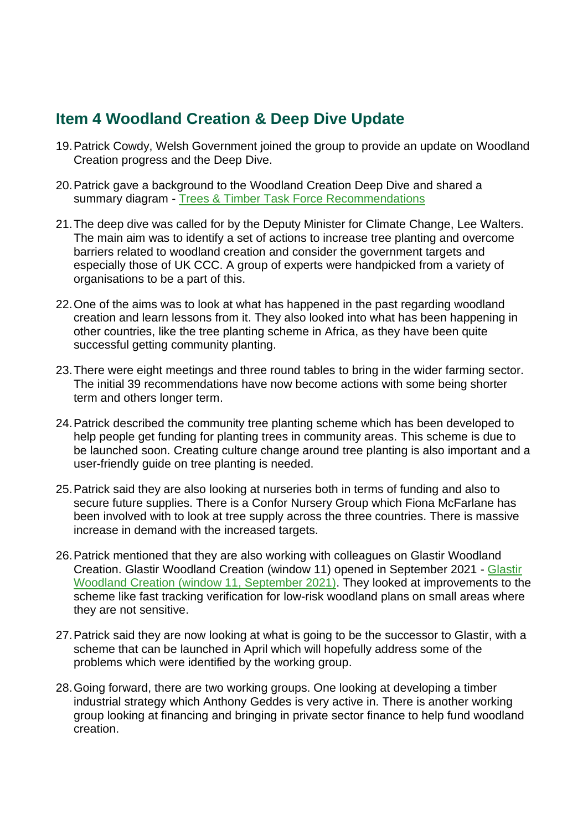## **Item 4 Woodland Creation & Deep Dive Update**

- 19.Patrick Cowdy, Welsh Government joined the group to provide an update on Woodland Creation progress and the Deep Dive.
- 20.Patrick gave a background to the Woodland Creation Deep Dive and shared a summary diagram - [Trees & Timber Task Force Recommendations](https://gov.wales/sites/default/files/publications/2021-07/trees-timber-task-force-recommendations.pdf)
- organisations to be a part of this. 21.The deep dive was called for by the Deputy Minister for Climate Change, Lee Walters. The main aim was to identify a set of actions to increase tree planting and overcome barriers related to woodland creation and consider the government targets and especially those of UK CCC. A group of experts were handpicked from a variety of
- 22.One of the aims was to look at what has happened in the past regarding woodland creation and learn lessons from it. They also looked into what has been happening in other countries, like the tree planting scheme in Africa, as they have been quite successful getting community planting.
- 23.There were eight meetings and three round tables to bring in the wider farming sector. The initial 39 recommendations have now become actions with some being shorter term and others longer term.
- help people get funding for planting trees in community areas. This scheme is due to be launched soon. Creating culture change around tree planting is also important and a user-friendly guide on tree planting is needed. 24.Patrick described the community tree planting scheme which has been developed to
- 25.Patrick said they are also looking at nurseries both in terms of funding and also to secure future supplies. There is a Confor Nursery Group which Fiona McFarlane has been involved with to look at tree supply across the three countries. There is massive increase in demand with the increased targets.
- 26.Patrick mentioned that they are also working with colleagues on Glastir Woodland Creation. Glastir Woodland Creation (window 11) opened in September 2021 - [Glastir](https://gov.wales/glastir-woodland-creation-window-11-september-2021-rules-booklet)  [Woodland Creation \(window 11, September 2021\).](https://gov.wales/glastir-woodland-creation-window-11-september-2021-rules-booklet) They looked at improvements to the scheme like fast tracking verification for low-risk woodland plans on small areas where they are not sensitive.
- scheme that can be launched in April which will hopefully address some of the 27.Patrick said they are now looking at what is going to be the successor to Glastir, with a problems which were identified by the working group.
- 28.Going forward, there are two working groups. One looking at developing a timber industrial strategy which Anthony Geddes is very active in. There is another working group looking at financing and bringing in private sector finance to help fund woodland creation.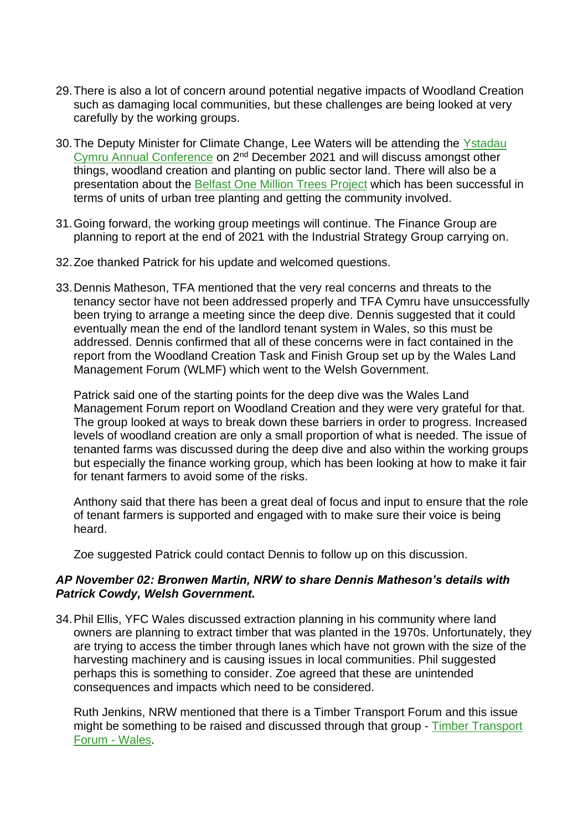- 29.There is also a lot of concern around potential negative impacts of Woodland Creation such as damaging local communities, but these challenges are being looked at very carefully by the working groups.
- things, woodland creation and planting on public sector land. There will also be a 30.The Deputy Minister for Climate Change, Lee Waters will be attending the [Ystadau](https://gov.wales/ystadau-cymru-annual-conference-2-december-2021)  [Cymru Annual Conference](https://gov.wales/ystadau-cymru-annual-conference-2-december-2021) on 2nd December 2021 and will discuss amongst other presentation about the [Belfast One Million Trees Project](https://www.belfastcity.gov.uk/onemilliontrees) which has been successful in terms of units of urban tree planting and getting the community involved.
- 31.Going forward, the working group meetings will continue. The Finance Group are planning to report at the end of 2021 with the Industrial Strategy Group carrying on.
- 32.Zoe thanked Patrick for his update and welcomed questions.
- been trying to arrange a meeting since the deep dive. Dennis suggested that it could report from the Woodland Creation Task and Finish Group set up by the Wales Land 33.Dennis Matheson, TFA mentioned that the very real concerns and threats to the tenancy sector have not been addressed properly and TFA Cymru have unsuccessfully eventually mean the end of the landlord tenant system in Wales, so this must be addressed. Dennis confirmed that all of these concerns were in fact contained in the Management Forum (WLMF) which went to the Welsh Government.

 Patrick said one of the starting points for the deep dive was the Wales Land tenanted farms was discussed during the deep dive and also within the working groups Management Forum report on Woodland Creation and they were very grateful for that. The group looked at ways to break down these barriers in order to progress. Increased levels of woodland creation are only a small proportion of what is needed. The issue of but especially the finance working group, which has been looking at how to make it fair for tenant farmers to avoid some of the risks.

 of tenant farmers is supported and engaged with to make sure their voice is being Anthony said that there has been a great deal of focus and input to ensure that the role heard.

Zoe suggested Patrick could contact Dennis to follow up on this discussion.

#### *AP November 02: Bronwen Martin, NRW to share Dennis Matheson's details with Patrick Cowdy, Welsh Government.*

 are trying to access the timber through lanes which have not grown with the size of the consequences and impacts which need to be considered. 34.Phil Ellis, YFC Wales discussed extraction planning in his community where land owners are planning to extract timber that was planted in the 1970s. Unfortunately, they harvesting machinery and is causing issues in local communities. Phil suggested perhaps this is something to consider. Zoe agreed that these are unintended

might be something to be raised and discussed through that group - Timber Transport Ruth Jenkins, NRW mentioned that there is a Timber Transport Forum and this issue [Forum -](https://timbertransportforum.org.uk/groups/wales/local-contact) Wales.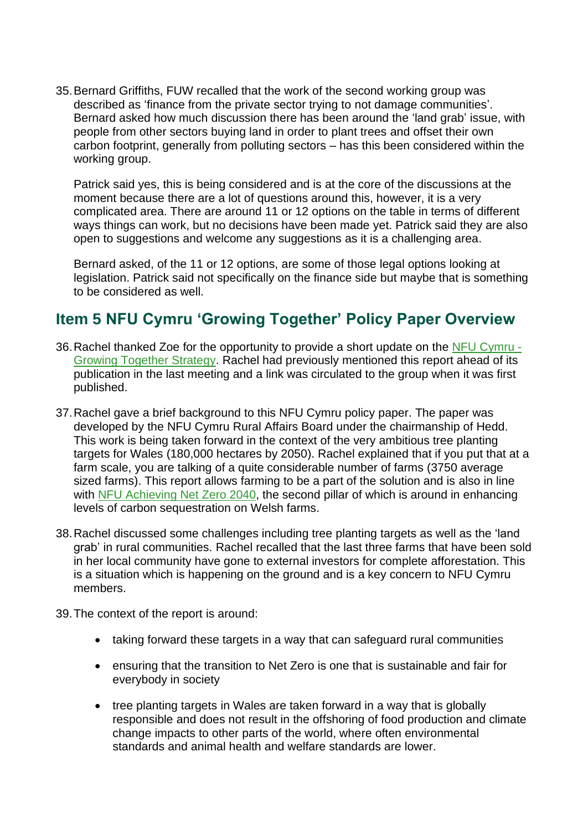35.Bernard Griffiths, FUW recalled that the work of the second working group was described as 'finance from the private sector trying to not damage communities'. Bernard asked how much discussion there has been around the 'land grab' issue, with people from other sectors buying land in order to plant trees and offset their own carbon footprint, generally from polluting sectors – has this been considered within the working group.

Patrick said yes, this is being considered and is at the core of the discussions at the moment because there are a lot of questions around this, however, it is a very complicated area. There are around 11 or 12 options on the table in terms of different ways things can work, but no decisions have been made yet. Patrick said they are also open to suggestions and welcome any suggestions as it is a challenging area.

 Bernard asked, of the 11 or 12 options, are some of those legal options looking at legislation. Patrick said not specifically on the finance side but maybe that is something to be considered as well.

## **Item 5 NFU Cymru 'Growing Together' Policy Paper Overview**

- publication in the last meeting and a link was circulated to the group when it was first 36. Rachel thanked Zoe for the opportunity to provide a short update on the [NFU Cymru -](https://www.nfu-cymru.org.uk/nfu-cymru/documents/nfu-cymru-treesandwoodland-report-english-hr-aw/) [Growing Together Strategy.](https://www.nfu-cymru.org.uk/nfu-cymru/documents/nfu-cymru-treesandwoodland-report-english-hr-aw/) Rachel had previously mentioned this report ahead of its published.
- 37.Rachel gave a brief background to this NFU Cymru policy paper. The paper was targets for Wales (180,000 hectares by 2050). Rachel explained that if you put that at a farm scale, you are talking of a quite considerable number of farms (3750 average levels of carbon sequestration on Welsh farms. developed by the NFU Cymru Rural Affairs Board under the chairmanship of Hedd. This work is being taken forward in the context of the very ambitious tree planting sized farms). This report allows farming to be a part of the solution and is also in line with [NFU Achieving Net Zero 2040,](https://www.nfuonline.com/archive?treeid=138313) the second pillar of which is around in enhancing
- 38.Rachel discussed some challenges including tree planting targets as well as the 'land grab' in rural communities. Rachel recalled that the last three farms that have been sold in her local community have gone to external investors for complete afforestation. This is a situation which is happening on the ground and is a key concern to NFU Cymru members.
- 39.The context of the report is around:
	- taking forward these targets in a way that can safeguard rural communities
	- ensuring that the transition to Net Zero is one that is sustainable and fair for everybody in society
	- responsible and does not result in the offshoring of food production and climate • tree planting targets in Wales are taken forward in a way that is globally change impacts to other parts of the world, where often environmental standards and animal health and welfare standards are lower.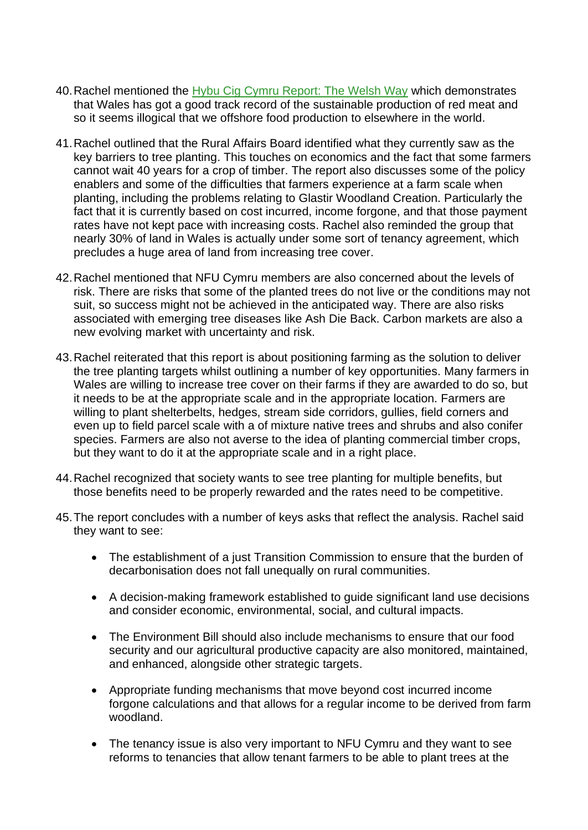- 40.Rachel mentioned the [Hybu Cig Cymru Report: The Welsh Way](https://meatpromotion.wales/images/resources/Welsh_Way_Final_Eng.pdf) which demonstrates that Wales has got a good track record of the sustainable production of red meat and so it seems illogical that we offshore food production to elsewhere in the world.
- precludes a huge area of land from increasing tree cover. 41.Rachel outlined that the Rural Affairs Board identified what they currently saw as the key barriers to tree planting. This touches on economics and the fact that some farmers cannot wait 40 years for a crop of timber. The report also discusses some of the policy enablers and some of the difficulties that farmers experience at a farm scale when planting, including the problems relating to Glastir Woodland Creation. Particularly the fact that it is currently based on cost incurred, income forgone, and that those payment rates have not kept pace with increasing costs. Rachel also reminded the group that nearly 30% of land in Wales is actually under some sort of tenancy agreement, which
- suit, so success might not be achieved in the anticipated way. There are also risks associated with emerging tree diseases like Ash Die Back. Carbon markets are also a 42.Rachel mentioned that NFU Cymru members are also concerned about the levels of risk. There are risks that some of the planted trees do not live or the conditions may not new evolving market with uncertainty and risk.
- 43.Rachel reiterated that this report is about positioning farming as the solution to deliver Wales are willing to increase tree cover on their farms if they are awarded to do so, but even up to field parcel scale with a of mixture native trees and shrubs and also conifer but they want to do it at the appropriate scale and in a right place. the tree planting targets whilst outlining a number of key opportunities. Many farmers in it needs to be at the appropriate scale and in the appropriate location. Farmers are willing to plant shelterbelts, hedges, stream side corridors, gullies, field corners and species. Farmers are also not averse to the idea of planting commercial timber crops,
- those benefits need to be properly rewarded and the rates need to be competitive. 44.Rachel recognized that society wants to see tree planting for multiple benefits, but
- 45.The report concludes with a number of keys asks that reflect the analysis. Rachel said they want to see:
	- The establishment of a just Transition Commission to ensure that the burden of decarbonisation does not fall unequally on rural communities.
	- • A decision-making framework established to guide significant land use decisions and consider economic, environmental, social, and cultural impacts.
	- security and our agricultural productive capacity are also monitored, maintained, • The Environment Bill should also include mechanisms to ensure that our food and enhanced, alongside other strategic targets.
	- Appropriate funding mechanisms that move beyond cost incurred income forgone calculations and that allows for a regular income to be derived from farm woodland.
	- The tenancy issue is also very important to NFU Cymru and they want to see reforms to tenancies that allow tenant farmers to be able to plant trees at the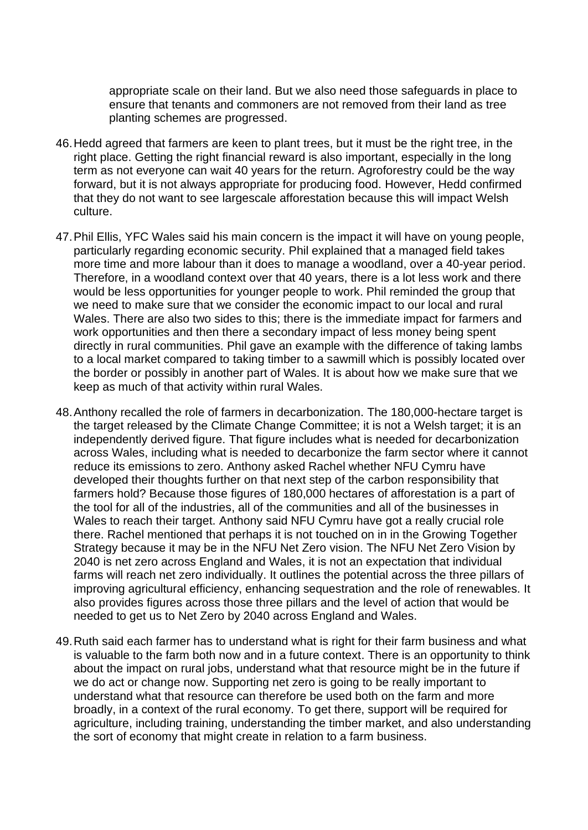appropriate scale on their land. But we also need those safeguards in place to ensure that tenants and commoners are not removed from their land as tree planting schemes are progressed.

- 46.Hedd agreed that farmers are keen to plant trees, but it must be the right tree, in the right place. Getting the right financial reward is also important, especially in the long term as not everyone can wait 40 years for the return. Agroforestry could be the way forward, but it is not always appropriate for producing food. However, Hedd confirmed that they do not want to see largescale afforestation because this will impact Welsh culture.
- 47.Phil Ellis, YFC Wales said his main concern is the impact it will have on young people, particularly regarding economic security. Phil explained that a managed field takes more time and more labour than it does to manage a woodland, over a 40-year period. Therefore, in a woodland context over that 40 years, there is a lot less work and there would be less opportunities for younger people to work. Phil reminded the group that we need to make sure that we consider the economic impact to our local and rural Wales. There are also two sides to this; there is the immediate impact for farmers and work opportunities and then there a secondary impact of less money being spent directly in rural communities. Phil gave an example with the difference of taking lambs to a local market compared to taking timber to a sawmill which is possibly located over the border or possibly in another part of Wales. It is about how we make sure that we keep as much of that activity within rural Wales.
- there. Rachel mentioned that perhaps it is not touched on in in the Growing Together needed to get us to Net Zero by 2040 across England and Wales. 48.Anthony recalled the role of farmers in decarbonization. The 180,000-hectare target is the target released by the Climate Change Committee; it is not a Welsh target; it is an independently derived figure. That figure includes what is needed for decarbonization across Wales, including what is needed to decarbonize the farm sector where it cannot reduce its emissions to zero. Anthony asked Rachel whether NFU Cymru have developed their thoughts further on that next step of the carbon responsibility that farmers hold? Because those figures of 180,000 hectares of afforestation is a part of the tool for all of the industries, all of the communities and all of the businesses in Wales to reach their target. Anthony said NFU Cymru have got a really crucial role Strategy because it may be in the NFU Net Zero vision. The NFU Net Zero Vision by 2040 is net zero across England and Wales, it is not an expectation that individual farms will reach net zero individually. It outlines the potential across the three pillars of improving agricultural efficiency, enhancing sequestration and the role of renewables. It also provides figures across those three pillars and the level of action that would be
- is valuable to the farm both now and in a future context. There is an opportunity to think the sort of economy that might create in relation to a farm business. 49.Ruth said each farmer has to understand what is right for their farm business and what about the impact on rural jobs, understand what that resource might be in the future if we do act or change now. Supporting net zero is going to be really important to understand what that resource can therefore be used both on the farm and more broadly, in a context of the rural economy. To get there, support will be required for agriculture, including training, understanding the timber market, and also understanding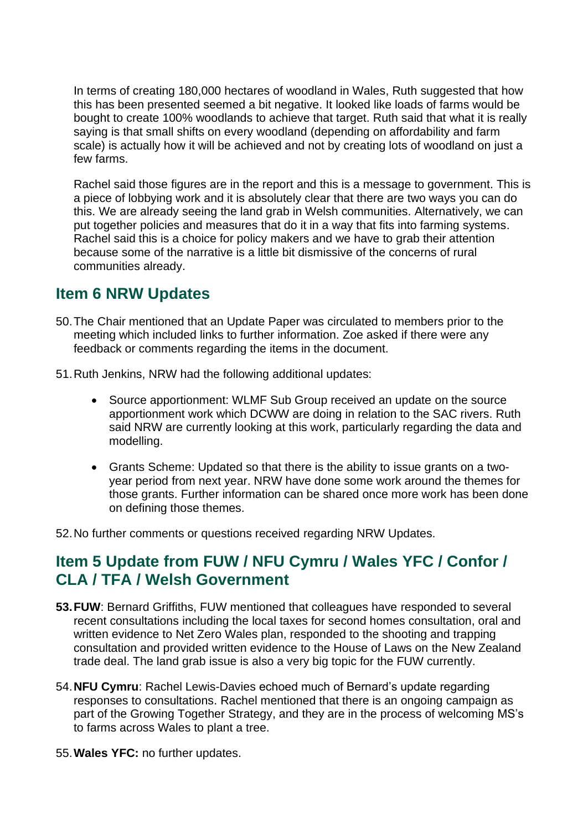scale) is actually how it will be achieved and not by creating lots of woodland on just a In terms of creating 180,000 hectares of woodland in Wales, Ruth suggested that how this has been presented seemed a bit negative. It looked like loads of farms would be bought to create 100% woodlands to achieve that target. Ruth said that what it is really saying is that small shifts on every woodland (depending on affordability and farm few farms.

 a piece of lobbying work and it is absolutely clear that there are two ways you can do this. We are already seeing the land grab in Welsh communities. Alternatively, we can Rachel said those figures are in the report and this is a message to government. This is put together policies and measures that do it in a way that fits into farming systems. Rachel said this is a choice for policy makers and we have to grab their attention because some of the narrative is a little bit dismissive of the concerns of rural communities already.

## **Item 6 NRW Updates**

- feedback or comments regarding the items in the document. 50.The Chair mentioned that an Update Paper was circulated to members prior to the meeting which included links to further information. Zoe asked if there were any
- 51.Ruth Jenkins, NRW had the following additional updates:
	- Source apportionment: WLMF Sub Group received an update on the source apportionment work which DCWW are doing in relation to the SAC rivers. Ruth said NRW are currently looking at this work, particularly regarding the data and modelling.
	- • Grants Scheme: Updated so that there is the ability to issue grants on a twoyear period from next year. NRW have done some work around the themes for those grants. Further information can be shared once more work has been done on defining those themes.

52.No further comments or questions received regarding NRW Updates.

## **CLA / TFA / Welsh Government Item 5 Update from FUW / NFU Cymru / Wales YFC / Confor /**

- written evidence to Net Zero Wales plan, responded to the shooting and trapping **53. FUW**: Bernard Griffiths, FUW mentioned that colleagues have responded to several recent consultations including the local taxes for second homes consultation, oral and consultation and provided written evidence to the House of Laws on the New Zealand trade deal. The land grab issue is also a very big topic for the FUW currently.
- 54.**NFU Cymru**: Rachel Lewis-Davies echoed much of Bernard's update regarding responses to consultations. Rachel mentioned that there is an ongoing campaign as part of the Growing Together Strategy, and they are in the process of welcoming MS's to farms across Wales to plant a tree.
- 55.**Wales YFC:** no further updates.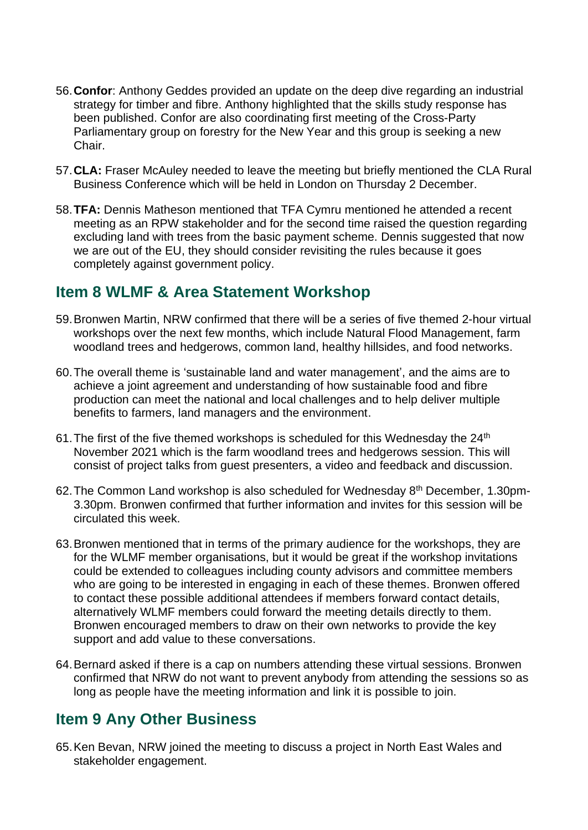- 56.**Confor**: Anthony Geddes provided an update on the deep dive regarding an industrial strategy for timber and fibre. Anthony highlighted that the skills study response has been published. Confor are also coordinating first meeting of the Cross-Party Parliamentary group on forestry for the New Year and this group is seeking a new Chair.
- 57.**CLA:** Fraser McAuley needed to leave the meeting but briefly mentioned the CLA Rural Business Conference which will be held in London on Thursday 2 December.
- meeting as an RPW stakeholder and for the second time raised the question regarding 58.**TFA:** Dennis Matheson mentioned that TFA Cymru mentioned he attended a recent excluding land with trees from the basic payment scheme. Dennis suggested that now we are out of the EU, they should consider revisiting the rules because it goes completely against government policy.

## **Item 8 WLMF & Area Statement Workshop**

- 59.Bronwen Martin, NRW confirmed that there will be a series of five themed 2-hour virtual workshops over the next few months, which include Natural Flood Management, farm woodland trees and hedgerows, common land, healthy hillsides, and food networks.
- 60.The overall theme is 'sustainable land and water management', and the aims are to achieve a joint agreement and understanding of how sustainable food and fibre production can meet the national and local challenges and to help deliver multiple benefits to farmers, land managers and the environment.
- November 2021 which is the farm woodland trees and hedgerows session. This will consist of project talks from guest presenters, a video and feedback and discussion. 61. The first of the five themed workshops is scheduled for this Wednesday the  $24<sup>th</sup>$
- 62.The Common Land workshop is also scheduled for Wednesday 8th December, 1.30pm-3.30pm. Bronwen confirmed that further information and invites for this session will be circulated this week.
- who are going to be interested in engaging in each of these themes. Bronwen offered 63.Bronwen mentioned that in terms of the primary audience for the workshops, they are for the WLMF member organisations, but it would be great if the workshop invitations could be extended to colleagues including county advisors and committee members to contact these possible additional attendees if members forward contact details, alternatively WLMF members could forward the meeting details directly to them. Bronwen encouraged members to draw on their own networks to provide the key support and add value to these conversations.
- 64.Bernard asked if there is a cap on numbers attending these virtual sessions. Bronwen confirmed that NRW do not want to prevent anybody from attending the sessions so as long as people have the meeting information and link it is possible to join.

## **Item 9 Any Other Business**

65.Ken Bevan, NRW joined the meeting to discuss a project in North East Wales and stakeholder engagement.